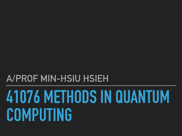# **41076 METHODS IN QUANTUM COMPUTING**

### **A/PROF MIN-HSIU HSIEH**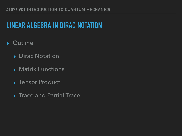### **LINEAR ALGEBRA IN DIRAC NOTATION**

- ▸ Outline
	- ▶ Dirac Notation
	- ▸ Matrix Functions
	- ▸ Tensor Product
	- ▶ Trace and Partial Trace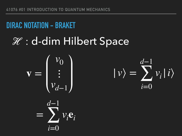### **DIRAC NOTATION - BRAKET**

### ℋ : d-dim Hilbert Space

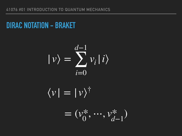#### **DIRAC NOTATION - BRAKET**

$$
|\nu\rangle = \sum_{i=0}^{d-1} \nu_i |i\rangle
$$

 $\langle v | = | v \rangle^{\dagger}$ 

 $= (v_0^*, \dots, v_d^*)$ *d*−1 )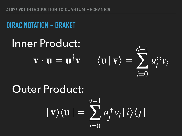### **DIRAC NOTATION - BRAKET**

### Inner Product: **v** ⋅ **u** = **u**†



#### Outer Product:  $| \mathbf{v} \rangle \langle \mathbf{u} | =$ *d*−1 ∑ *i*=0 *u*\* *<sup>j</sup> vi*|*i*⟩⟨*j*|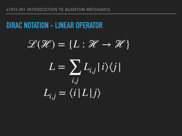### **DIRAC NOTATION - LINEAR OPERATOR**

 $\mathscr{L}(\mathscr{H}) = \{L : \mathscr{H} \to \mathscr{H}\}$ 

 $L = \sum_{i,j} L_{i,j} |i\rangle\langle j|$ *i*,*j*  $L_{i,j} = \langle i | L | j \rangle$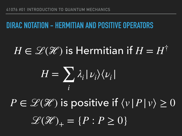### **DIRAC NOTATION - HERMITIAN AND POSITIVE OPERATORS**

### $H \in \mathscr{L}(\mathscr{H})$  is Hermitian if  $H = H^{\dagger}$

$$
H = \sum_{i} \lambda_i | \nu_i \rangle \langle \nu_i |
$$

 $P \in \mathscr{L}(\mathscr{H})$  is positive if  $\langle v | P | v \rangle \geq 0$  $\mathscr{L}(\mathscr{H})_{+} = \{P : P \geq 0\}$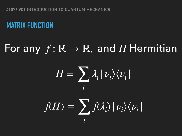### **MATRIX FUNCTION**

## For any *f* : ℝ → ℝ, and *H* Hermitian  $f(H) = \sum_{i} f(\lambda_i) | \nu_i \rangle \langle \nu_i |$ *i*  $H = \sum \lambda_i | \nu_i \rangle \langle \nu_i |$ *i*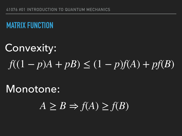### **MATRIX FUNCTION**

### Convexity:  $f((1 - p)A + pB) \le (1 - p)f(A) + pf(B)$

### Monotone:

 $A \geq B \Rightarrow f(A) \geq f(B)$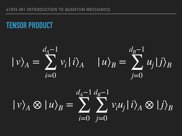### **TENSOR PRODUCT**



$$
|v\rangle_A \otimes |u\rangle_B = \sum_{i=0}^{d_A-1} \sum_{j=0}^{d_B-1} v_i u_j |i\rangle_A \otimes |j\rangle_B
$$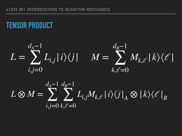### **TENSOR PRODUCT**

$$
L = \sum_{i,j=0}^{d_A-1} L_{i,j} |i\rangle\langle j| \qquad M = \sum_{k,\ell=0}^{d_B-1} M_{k,\ell} |k\rangle\langle \ell|
$$

$$
L \otimes M = \sum_{i,j=0}^{d_A-1} \sum_{k,\ell=0}^{d_B-1} L_{i,j} M_{k,\ell} |i\rangle\langle j|_A \otimes |k\rangle\langle\ell|_B
$$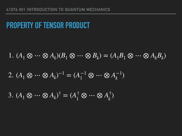### **PROPERTY OF TENSOR PRODUCT**

$$
1. (A_1 \otimes \cdots \otimes A_k)(B_1 \otimes \cdots \otimes B_k) = (A_1 B_1 \otimes \cdots \otimes A_k B_k)
$$

$$
2. (A_1 \otimes \cdots \otimes A_k)^{-1} = (A_1^{-1} \otimes \cdots \otimes A_k^{-1})
$$

3. 
$$
(A_1 \otimes \cdots \otimes A_k)^{\dagger} = (A_1^{\dagger} \otimes \cdots \otimes A_k^{\dagger})
$$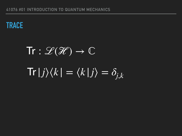

# $Tr : \mathscr{L}(\mathscr{H}) \rightarrow \mathbb{C}$  $\text{Tr}|j\rangle\langle k| = \langle k|j\rangle = \delta_{j,k}$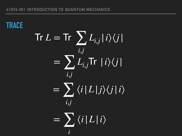**TRACE**  $\text{Tr } L = \text{Tr } \sum_{i,j} L_{i,j} |i\rangle\langle j|$ *i*,*j*  $=$   $\sum L_{i,j}$ Tr |*i* $\rangle\langle j|$ *i*,*j*  $=$   $\sum \langle i | L | j \rangle \langle j | i \rangle$ *i*,*j*  $=$   $\sum \langle i | L | i \rangle$ *i*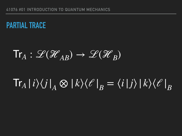### **PARTIAL TRACE**

$$
\mathrm{Tr}_A: \mathscr{L}(\mathscr{H}_{AB}) \to \mathscr{L}(\mathscr{H}_B)
$$

#### $\text{Tr}_A\ket{i}\!\bra{j}_A\otimes\ket{k}\!\bra{\ell}_B$  $=\langle i|j\rangle |k\rangle\langle l'|$ *B*